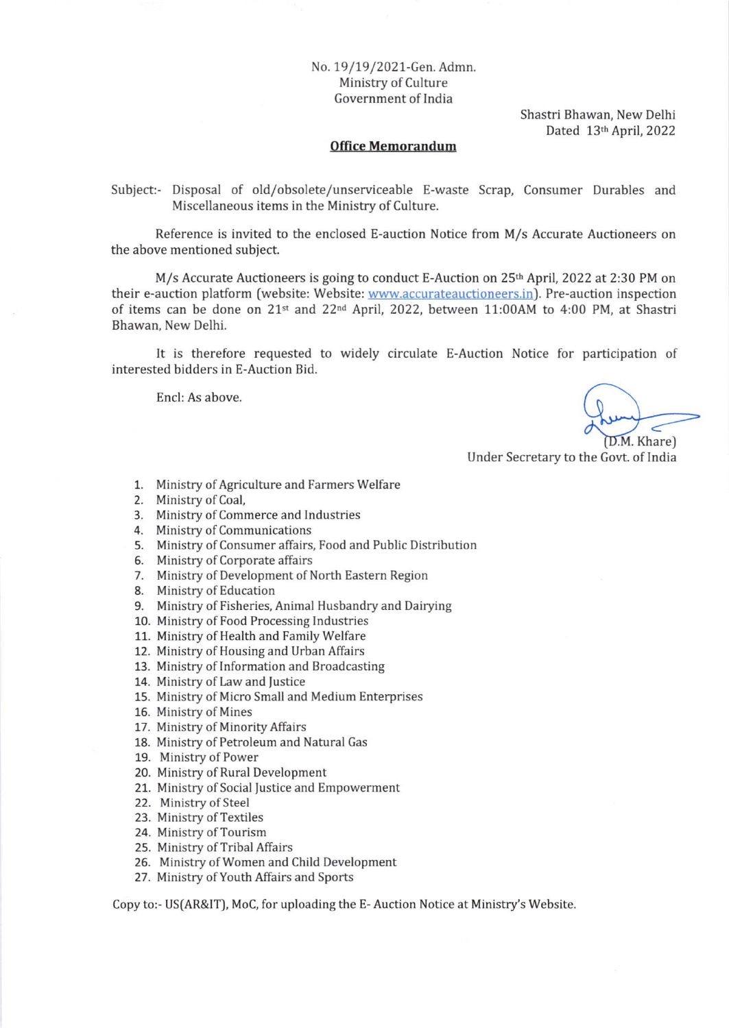## No. 19/19/2021-Gen. Admn. Ministry of Culture Government of India

Shastri Bhawan, New Delhi Dated 13th April, 2022

## Office Memorandum

Subiect:- Disposal of old/obsolete/unserviceable E-waste Scrap, Consumer Durables and Miscellaneous items in the Ministry of Culture.

Reference is invited to the enclosed E-auction Notice from M/s Accurate Auctioneers on the above mentioned subject.

M/s Accurate Auctioneers is going to conduct E-Auction on 25<sup>th</sup> April, 2022 at 2:30 PM on their e-auction platform (website: Website: www.accurateauctioneers.in). Pre-auction inspection of items can be done on 21<sup>st</sup> and 22<sup>nd</sup> April, 2022, between 11:00AM to 4:00 PM, at Shastri Bhawan, New Delhi.

It is therefore requested to widely circulate E-Auction Notice for participation of interested bidders in E-Auction Bid.

Encl: As above.

(D.M. Khare)

Under Secretary to the Govt. of India

- 1. Ministry of Agriculture and Farmers Welfare
- 2. Ministry of Coal,
- 3. Ministry of Commerce and Industries
- 4. Ministry of Communications
- 5. Ministry of Consumer affairs, Food and Public Distribution
- 6. Ministry of Corporate affairs
- 7. Ministry of Development of North Eastern Region
- 8. Ministry of Education
- 9. Ministry of Fisheries, Animal Husbandry and Dairying
- 10. Ministry of Food Processing Industries
- 11. Ministry of Health and Family Welfare
- 12. Ministry of Housing and Urban Affairs
- 13. Ministry of Information and Broadcasting
- 14. Ministry of Law and Justice
- 15. Ministry of Micro Small and Medium Enterprises
- 16. Ministry of Mines
- 17. Ministry of Minority Affairs
- 18. Ministry of Petroleum and Natural Gas
- 19. Ministry of Power
- 20. Ministry of Rural Development
- 21. Ministry of Social Justice and Empowerment
- 22. Ministry of Steel
- 23. Ministry of Textiles
- 24. Ministry of Tourism
- 25. Ministry of Tribal Affairs
- 26. Ministry of Women and Child Development
- 27. Ministry of Youth Affairs and Sports

Copy to:- US(AR&lT), MoC, for uploading the E- Auction Notice at Ministry's Website.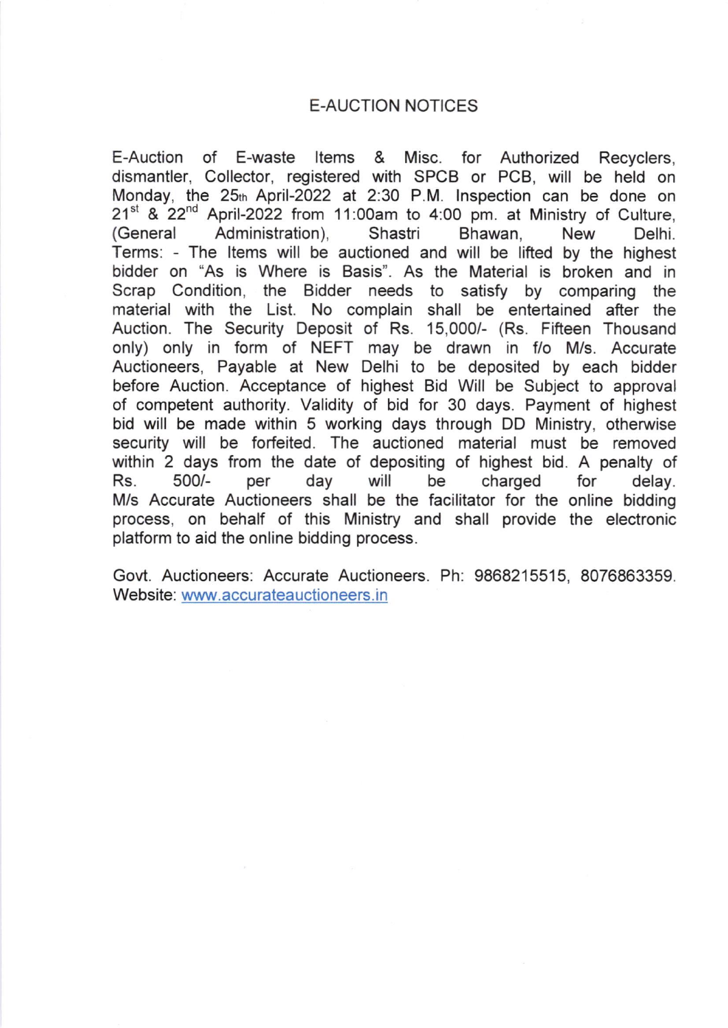## E-AUCTION NOTICES

E-Auction of E-waste ltems & Misc. for Authorized Recyclers, dismantler, Collector, registered with SPCB or PCB, will be held on Monday, the 25th April-2022 at 2:30 P.M. Inspection can be done on 21<sup>st</sup> & 22<sup>nd</sup> April-2022 from 11:00am to 4:00 pm. at Ministry of Culture, (General Administration), Shastri Bhawan, New Delhi. Terms: - The ltems will be auctioned and will be lifted by the highest bidder on "As is Where is Basis". As the Material is broken and in Scrap Condition, the Bidder needs to satisfy by comparing the material with the List. No complain shall be entertained after the Auction. The Security Deposit of Rs. 15,000/- (Rs. Fifteen Thousand only) only in form of NEFT may be drawn in f/o M/s. Accurate Auctioneers, Payable at New Delhi to be deposited by each bidder before Auction. Acceptance of highest Bid Will be Subject to approval of competent authority. Validity of bid for 30 days. Payment of highest bid will be made within 5 working days through DD Ministry, otherwise security will be forfeited. The auctioned material must be removed within 2 days from the date of depositing of highest bid. A penalty of Rs. 500/- per day will be charged for delay. M/s Accurate Auctioneers shall be the facilitator for the online bidding process, on behalf of this Ministry and shall provide the electronic platform to aid the online bidding process.

Govt. Auctioneers: Accurate Auctioneers. Ph: 9868215515, 8076863359. Website: www.accurateauctioneers. in